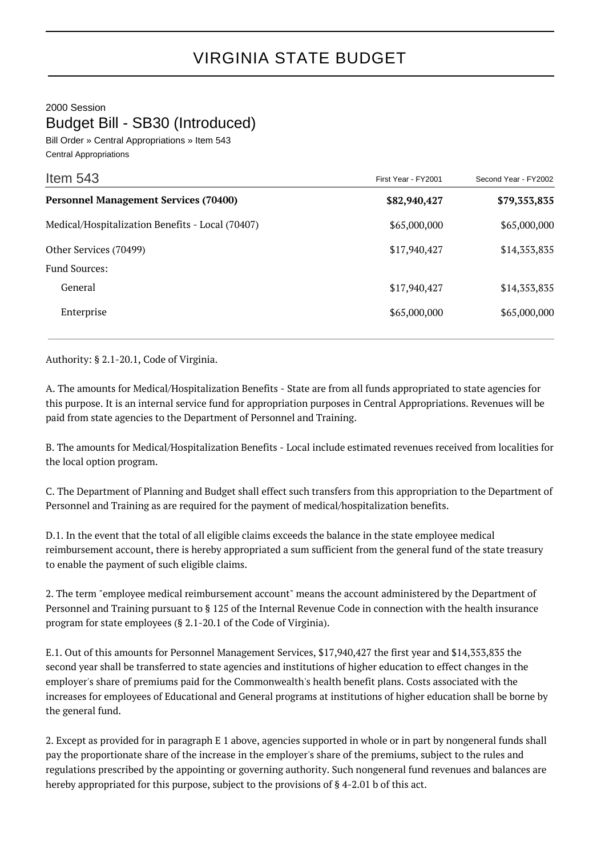2000 Session

Budget Bill - SB30 (Introduced)

Bill Order » Central Appropriations » Item 543 Central Appropriations

| Item $543$                                       | First Year - FY2001 | Second Year - FY2002 |
|--------------------------------------------------|---------------------|----------------------|
| <b>Personnel Management Services (70400)</b>     | \$82,940,427        | \$79,353,835         |
| Medical/Hospitalization Benefits - Local (70407) | \$65,000,000        | \$65,000,000         |
| Other Services (70499)                           | \$17,940,427        | \$14,353,835         |
| <b>Fund Sources:</b>                             |                     |                      |
| General                                          | \$17,940,427        | \$14,353,835         |
| Enterprise                                       | \$65,000,000        | \$65,000,000         |

Authority: § 2.1-20.1, Code of Virginia.

A. The amounts for Medical/Hospitalization Benefits - State are from all funds appropriated to state agencies for this purpose. It is an internal service fund for appropriation purposes in Central Appropriations. Revenues will be paid from state agencies to the Department of Personnel and Training.

B. The amounts for Medical/Hospitalization Benefits - Local include estimated revenues received from localities for the local option program.

C. The Department of Planning and Budget shall effect such transfers from this appropriation to the Department of Personnel and Training as are required for the payment of medical/hospitalization benefits.

D.1. In the event that the total of all eligible claims exceeds the balance in the state employee medical reimbursement account, there is hereby appropriated a sum sufficient from the general fund of the state treasury to enable the payment of such eligible claims.

2. The term "employee medical reimbursement account" means the account administered by the Department of Personnel and Training pursuant to § 125 of the Internal Revenue Code in connection with the health insurance program for state employees (§ 2.1-20.1 of the Code of Virginia).

E.1. Out of this amounts for Personnel Management Services, \$17,940,427 the first year and \$14,353,835 the second year shall be transferred to state agencies and institutions of higher education to effect changes in the employer's share of premiums paid for the Commonwealth's health benefit plans. Costs associated with the increases for employees of Educational and General programs at institutions of higher education shall be borne by the general fund.

2. Except as provided for in paragraph E 1 above, agencies supported in whole or in part by nongeneral funds shall pay the proportionate share of the increase in the employer's share of the premiums, subject to the rules and regulations prescribed by the appointing or governing authority. Such nongeneral fund revenues and balances are hereby appropriated for this purpose, subject to the provisions of § 4-2.01 b of this act.